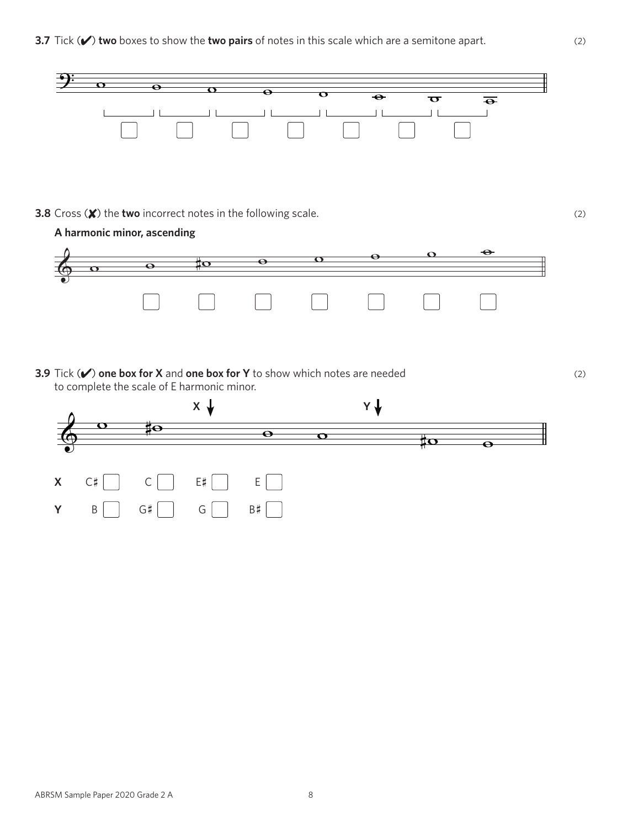

**3.8** Cross ( $\mathbf{\mathsf{X}}$ ) the **two** incorrect notes in the following scale. (2)



**3.9** Tick ( $\checkmark$ ) one box for X and one box for Y to show which notes are needed (2) to complete the scale of E harmonic minor.